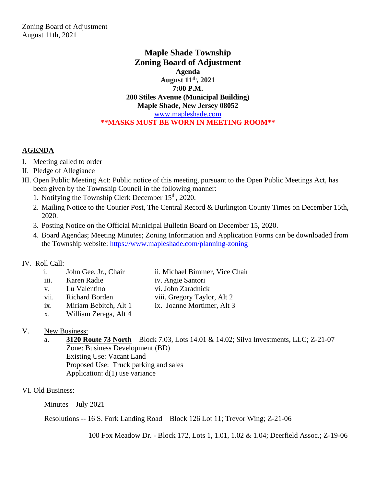## **Maple Shade Township Zoning Board of Adjustment Agenda August 11th, 2021 7:00 P.M. 200 Stiles Avenue (Municipal Building) Maple Shade, New Jersey 08052** [www.mapleshade.com](http://www.mapleshade.com/) **\*\*MASKS MUST BE WORN IN MEETING ROOM\*\***

# **AGENDA**

- I. Meeting called to order
- II. Pledge of Allegiance
- III. Open Public Meeting Act: Public notice of this meeting, pursuant to the Open Public Meetings Act, has been given by the Township Council in the following manner:
	- 1. Notifying the Township Clerk December  $15<sup>th</sup>$ , 2020.
	- 2. Mailing Notice to the Courier Post, The Central Record & Burlington County Times on December 15th, 2020.
	- 3. Posting Notice on the Official Municipal Bulletin Board on December 15, 2020.
	- 4. Board Agendas; Meeting Minutes; Zoning Information and Application Forms can be downloaded from the Township website:<https://www.mapleshade.com/planning-zoning>

# IV. Roll Call:

| i.          | John Gee, Jr., Chair  | ii. Michael Bimmer, Vice Chair |
|-------------|-----------------------|--------------------------------|
| iii.        | Karen Radie           | iv. Angie Santori              |
| $V_{\rm A}$ | Lu Valentino          | vi. John Zaradnick             |
| vii.        | <b>Richard Borden</b> | viii. Gregory Taylor, Alt 2    |
| ix.         | Miriam Bebitch, Alt 1 | ix. Joanne Mortimer, Alt 3     |
| X.          | William Zerega, Alt 4 |                                |
|             |                       |                                |

# V. New Business:

a. **3120 Route 73 North**—Block 7.03, Lots 14.01 & 14.02; Silva Investments, LLC; Z-21-07 Zone: Business Development (BD) Existing Use: Vacant Land Proposed Use: Truck parking and sales Application: d(1) use variance

# VI. Old Business:

Minutes – July 2021

Resolutions -- 16 S. Fork Landing Road – Block 126 Lot 11; Trevor Wing; Z-21-06

100 Fox Meadow Dr. - Block 172, Lots 1, 1.01, 1.02 & 1.04; Deerfield Assoc.; Z-19-06